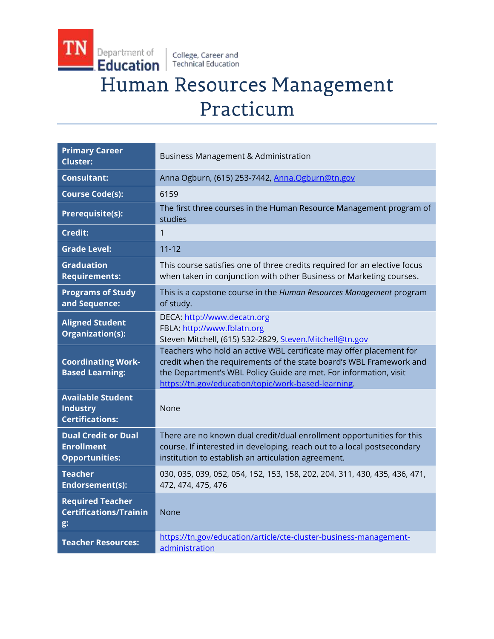College, Career and<br>Technical Education

TN

Department of

# Human Resources Management Practicum

| <b>Primary Career</b><br><b>Cluster:</b>                                 | <b>Business Management &amp; Administration</b>                                                                                                                                                                                                                        |
|--------------------------------------------------------------------------|------------------------------------------------------------------------------------------------------------------------------------------------------------------------------------------------------------------------------------------------------------------------|
| <b>Consultant:</b>                                                       | Anna Ogburn, (615) 253-7442, Anna.Ogburn@tn.gov                                                                                                                                                                                                                        |
| <b>Course Code(s):</b>                                                   | 6159                                                                                                                                                                                                                                                                   |
| <b>Prerequisite(s):</b>                                                  | The first three courses in the Human Resource Management program of<br>studies                                                                                                                                                                                         |
| <b>Credit:</b>                                                           | $\mathbf{1}$                                                                                                                                                                                                                                                           |
| <b>Grade Level:</b>                                                      | $11 - 12$                                                                                                                                                                                                                                                              |
| <b>Graduation</b><br><b>Requirements:</b>                                | This course satisfies one of three credits required for an elective focus<br>when taken in conjunction with other Business or Marketing courses.                                                                                                                       |
| <b>Programs of Study</b><br>and Sequence:                                | This is a capstone course in the Human Resources Management program<br>of study.                                                                                                                                                                                       |
| <b>Aligned Student</b><br>Organization(s):                               | DECA: http://www.decatn.org<br>FBLA: http://www.fblatn.org<br>Steven Mitchell, (615) 532-2829, Steven.Mitchell@tn.gov                                                                                                                                                  |
| <b>Coordinating Work-</b><br><b>Based Learning:</b>                      | Teachers who hold an active WBL certificate may offer placement for<br>credit when the requirements of the state board's WBL Framework and<br>the Department's WBL Policy Guide are met. For information, visit<br>https://tn.gov/education/topic/work-based-learning. |
| <b>Available Student</b><br><b>Industry</b><br><b>Certifications:</b>    | None                                                                                                                                                                                                                                                                   |
| <b>Dual Credit or Dual</b><br><b>Enrollment</b><br><b>Opportunities:</b> | There are no known dual credit/dual enrollment opportunities for this<br>course. If interested in developing, reach out to a local postsecondary<br>institution to establish an articulation agreement.                                                                |
| <b>Teacher</b><br>Endorsement(s):                                        | 030, 035, 039, 052, 054, 152, 153, 158, 202, 204, 311, 430, 435, 436, 471,<br>472, 474, 475, 476                                                                                                                                                                       |
| <b>Required Teacher</b><br><b>Certifications/Trainin</b><br>g:           | <b>None</b>                                                                                                                                                                                                                                                            |
| <b>Teacher Resources:</b>                                                | https://tn.gov/education/article/cte-cluster-business-management-<br>administration                                                                                                                                                                                    |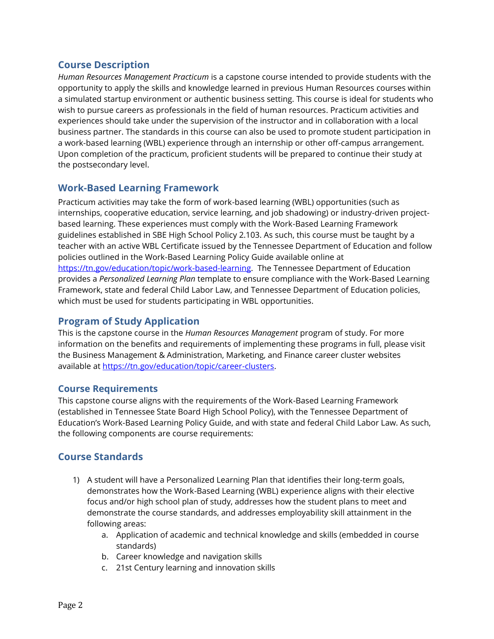# **Course Description**

*Human Resources Management Practicum* is a capstone course intended to provide students with the opportunity to apply the skills and knowledge learned in previous Human Resources courses within a simulated startup environment or authentic business setting. This course is ideal for students who wish to pursue careers as professionals in the field of human resources. Practicum activities and experiences should take under the supervision of the instructor and in collaboration with a local business partner. The standards in this course can also be used to promote student participation in a work-based learning (WBL) experience through an internship or other off-campus arrangement. Upon completion of the practicum, proficient students will be prepared to continue their study at the postsecondary level.

# **Work-Based Learning Framework**

Practicum activities may take the form of work-based learning (WBL) opportunities (such as internships, cooperative education, service learning, and job shadowing) or industry-driven projectbased learning. These experiences must comply with the Work-Based Learning Framework guidelines established in SBE High School Policy 2.103. As such, this course must be taught by a teacher with an active WBL Certificate issued by the Tennessee Department of Education and follow policies outlined in the Work-Based Learning Policy Guide available online at [https://tn.gov/education/topic/work-based-learning.](https://tn.gov/education/topic/work-based-learning) The Tennessee Department of Education provides a *Personalized Learning Plan* template to ensure compliance with the Work-Based Learning Framework, state and federal Child Labor Law, and Tennessee Department of Education policies, which must be used for students participating in WBL opportunities.

## **Program of Study Application**

This is the capstone course in the *Human Resources Management* program of study. For more information on the benefits and requirements of implementing these programs in full, please visit the Business Management & Administration, Marketing, and Finance career cluster websites available at [https://tn.gov/education/topic/career-clusters.](https://tn.gov/education/topic/career-clusters)

#### **Course Requirements**

This capstone course aligns with the requirements of the Work-Based Learning Framework (established in Tennessee State Board High School Policy), with the Tennessee Department of Education's Work-Based Learning Policy Guide, and with state and federal Child Labor Law. As such, the following components are course requirements:

## **Course Standards**

- 1) A student will have a Personalized Learning Plan that identifies their long-term goals, demonstrates how the Work-Based Learning (WBL) experience aligns with their elective focus and/or high school plan of study, addresses how the student plans to meet and demonstrate the course standards, and addresses employability skill attainment in the following areas:
	- a. Application of academic and technical knowledge and skills (embedded in course standards)
	- b. Career knowledge and navigation skills
	- c. 21st Century learning and innovation skills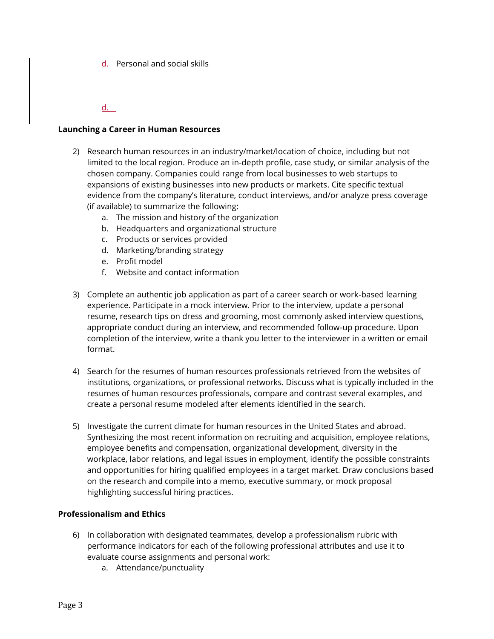d. Personal and social skills

d.

#### **Launching a Career in Human Resources**

- 2) Research human resources in an industry/market/location of choice, including but not limited to the local region. Produce an in-depth profile, case study, or similar analysis of the chosen company. Companies could range from local businesses to web startups to expansions of existing businesses into new products or markets. Cite specific textual evidence from the company's literature, conduct interviews, and/or analyze press coverage (if available) to summarize the following:
	- a. The mission and history of the organization
	- b. Headquarters and organizational structure
	- c. Products or services provided
	- d. Marketing/branding strategy
	- e. Profit model
	- f. Website and contact information
- 3) Complete an authentic job application as part of a career search or work-based learning experience. Participate in a mock interview. Prior to the interview, update a personal resume, research tips on dress and grooming, most commonly asked interview questions, appropriate conduct during an interview, and recommended follow-up procedure. Upon completion of the interview, write a thank you letter to the interviewer in a written or email format.
- 4) Search for the resumes of human resources professionals retrieved from the websites of institutions, organizations, or professional networks. Discuss what is typically included in the resumes of human resources professionals, compare and contrast several examples, and create a personal resume modeled after elements identified in the search.
- 5) Investigate the current climate for human resources in the United States and abroad. Synthesizing the most recent information on recruiting and acquisition, employee relations, employee benefits and compensation, organizational development, diversity in the workplace, labor relations, and legal issues in employment, identify the possible constraints and opportunities for hiring qualified employees in a target market. Draw conclusions based on the research and compile into a memo, executive summary, or mock proposal highlighting successful hiring practices.

#### **Professionalism and Ethics**

- 6) In collaboration with designated teammates, develop a professionalism rubric with performance indicators for each of the following professional attributes and use it to evaluate course assignments and personal work:
	- a. Attendance/punctuality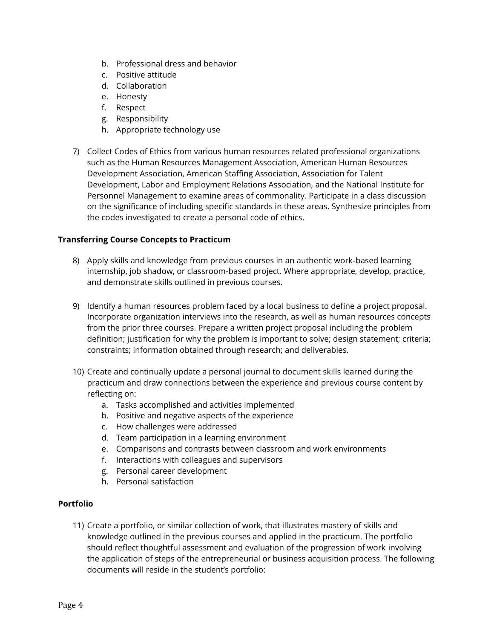- b. Professional dress and behavior
- c. Positive attitude
- d. Collaboration
- e. Honesty
- f. Respect
- g. Responsibility
- h. Appropriate technology use
- 7) Collect Codes of Ethics from various human resources related professional organizations such as the Human Resources Management Association, American Human Resources Development Association, American Staffing Association, Association for Talent Development, Labor and Employment Relations Association, and the National Institute for Personnel Management to examine areas of commonality. Participate in a class discussion on the significance of including specific standards in these areas. Synthesize principles from the codes investigated to create a personal code of ethics.

#### **Transferring Course Concepts to Practicum**

- 8) Apply skills and knowledge from previous courses in an authentic work-based learning internship, job shadow, or classroom-based project. Where appropriate, develop, practice, and demonstrate skills outlined in previous courses.
- 9) Identify a human resources problem faced by a local business to define a project proposal. Incorporate organization interviews into the research, as well as human resources concepts from the prior three courses. Prepare a written project proposal including the problem definition; justification for why the problem is important to solve; design statement; criteria; constraints; information obtained through research; and deliverables.
- 10) Create and continually update a personal journal to document skills learned during the practicum and draw connections between the experience and previous course content by reflecting on:
	- a. Tasks accomplished and activities implemented
	- b. Positive and negative aspects of the experience
	- c. How challenges were addressed
	- d. Team participation in a learning environment
	- e. Comparisons and contrasts between classroom and work environments
	- f. Interactions with colleagues and supervisors
	- g. Personal career development
	- h. Personal satisfaction

#### **Portfolio**

11) Create a portfolio, or similar collection of work, that illustrates mastery of skills and knowledge outlined in the previous courses and applied in the practicum. The portfolio should reflect thoughtful assessment and evaluation of the progression of work involving the application of steps of the entrepreneurial or business acquisition process. The following documents will reside in the student's portfolio: